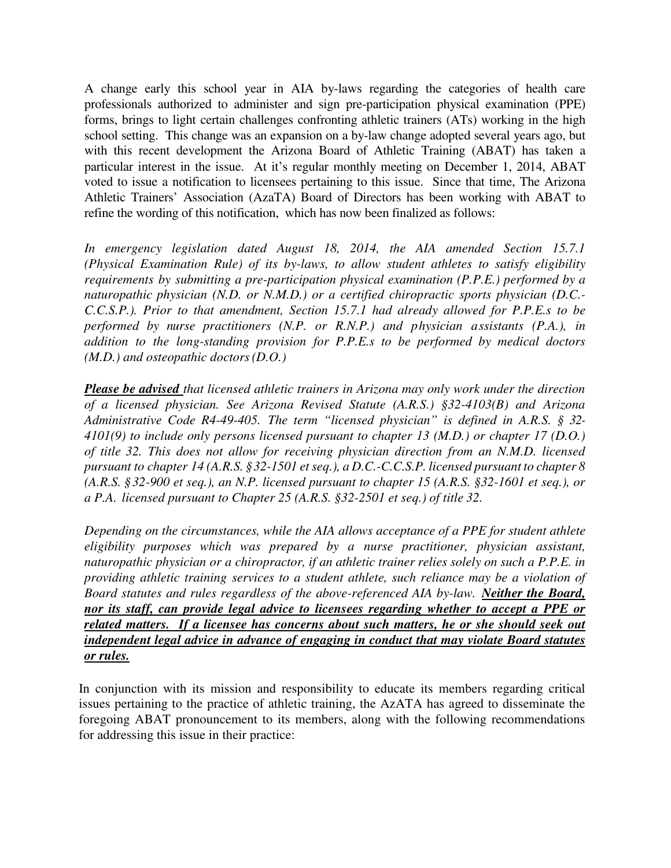A change early this school year in AIA by-laws regarding the categories of health care professionals authorized to administer and sign pre-participation physical examination (PPE) forms, brings to light certain challenges confronting athletic trainers (ATs) working in the high school setting. This change was an expansion on a by-law change adopted several years ago, but with this recent development the Arizona Board of Athletic Training (ABAT) has taken a particular interest in the issue. At it's regular monthly meeting on December 1, 2014, ABAT voted to issue a notification to licensees pertaining to this issue. Since that time, The Arizona Athletic Trainers' Association (AzaTA) Board of Directors has been working with ABAT to refine the wording of this notification, which has now been finalized as follows:

*In emergency legislation dated August 18, 2014, the AIA amended Section 15.7.1 (Physical Examination Rule) of its by-laws, to allow student athletes to satisfy eligibility requirements by submitting a pre-participation physical examination (P.P.E.) performed by a naturopathic physician (N.D. or N.M.D.) or a certified chiropractic sports physician (D.C.- C.C.S.P.). Prior to that amendment, Section 15.7.1 had already allowed for P.P.E.s to be performed by nurse practitioners (N.P. or R.N.P.) and physician assistants (P.A.), in addition to the long-standing provision for P.P.E.s to be performed by medical doctors (M.D.) and osteopathic doctors (D.O.)* 

*Please be advised that licensed athletic trainers in Arizona may only work under the direction of a licensed physician. See Arizona Revised Statute (A.R.S.) §32-4103(B) and Arizona Administrative Code R4-49-405. The term "licensed physician" is defined in A.R.S. § 32- 4101(9) to include only persons licensed pursuant to chapter 13 (M.D.) or chapter 17 (D.O.) of title 32. This does not allow for receiving physician direction from an N.M.D. licensed pursuant to chapter 14 (A.R.S. § 32-1501 et seq.), a D.C.-C.C.S.P. licensed pursuant to chapter 8 (A.R.S. § 32-900 et seq.), an N.P. licensed pursuant to chapter 15 (A.R.S. §32-1601 et seq.), or a P.A. licensed pursuant to Chapter 25 (A.R.S. §32-2501 et seq.) of title 32.* 

*Depending on the circumstances, while the AIA allows acceptance of a PPE for student athlete eligibility purposes which was prepared by a nurse practitioner, physician assistant, naturopathic physician or a chiropractor, if an athletic trainer relies solely on such a P.P.E. in providing athletic training services to a student athlete, such reliance may be a violation of Board statutes and rules regardless of the above-referenced AIA by-law. Neither the Board, nor its staff, can provide legal advice to licensees regarding whether to accept a PPE or related matters. If a licensee has concerns about such matters, he or she should seek out independent legal advice in advance of engaging in conduct that may violate Board statutes or rules.*

In conjunction with its mission and responsibility to educate its members regarding critical issues pertaining to the practice of athletic training, the AzATA has agreed to disseminate the foregoing ABAT pronouncement to its members, along with the following recommendations for addressing this issue in their practice: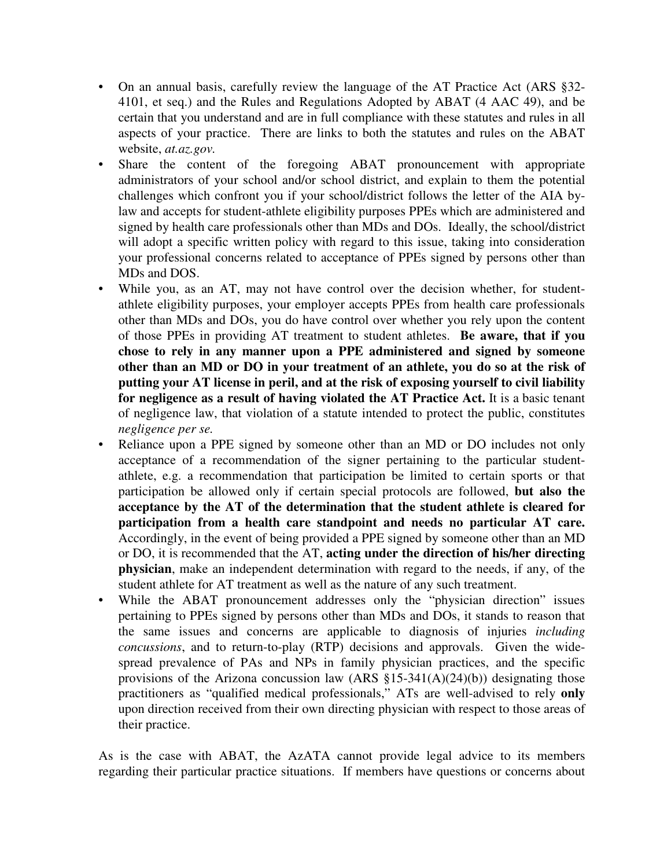- On an annual basis, carefully review the language of the AT Practice Act (ARS  $\S 32$ -4101, et seq.) and the Rules and Regulations Adopted by ABAT (4 AAC 49), and be certain that you understand and are in full compliance with these statutes and rules in all aspects of your practice. There are links to both the statutes and rules on the ABAT website, *at.az.gov.*
- Share the content of the foregoing ABAT pronouncement with appropriate administrators of your school and/or school district, and explain to them the potential challenges which confront you if your school/district follows the letter of the AIA bylaw and accepts for student-athlete eligibility purposes PPEs which are administered and signed by health care professionals other than MDs and DOs. Ideally, the school/district will adopt a specific written policy with regard to this issue, taking into consideration your professional concerns related to acceptance of PPEs signed by persons other than MDs and DOS.
- While you, as an AT, may not have control over the decision whether, for studentathlete eligibility purposes, your employer accepts PPEs from health care professionals other than MDs and DOs, you do have control over whether you rely upon the content of those PPEs in providing AT treatment to student athletes. **Be aware, that if you chose to rely in any manner upon a PPE administered and signed by someone other than an MD or DO in your treatment of an athlete, you do so at the risk of putting your AT license in peril, and at the risk of exposing yourself to civil liability for negligence as a result of having violated the AT Practice Act.** It is a basic tenant of negligence law, that violation of a statute intended to protect the public, constitutes *negligence per se.*
- Reliance upon a PPE signed by someone other than an MD or DO includes not only acceptance of a recommendation of the signer pertaining to the particular studentathlete, e.g. a recommendation that participation be limited to certain sports or that participation be allowed only if certain special protocols are followed, **but also the acceptance by the AT of the determination that the student athlete is cleared for participation from a health care standpoint and needs no particular AT care.** Accordingly, in the event of being provided a PPE signed by someone other than an MD or DO, it is recommended that the AT, **acting under the direction of his/her directing physician**, make an independent determination with regard to the needs, if any, of the student athlete for AT treatment as well as the nature of any such treatment.
- While the ABAT pronouncement addresses only the "physician direction" issues pertaining to PPEs signed by persons other than MDs and DOs, it stands to reason that the same issues and concerns are applicable to diagnosis of injuries *including concussions*, and to return-to-play (RTP) decisions and approvals. Given the widespread prevalence of PAs and NPs in family physician practices, and the specific provisions of the Arizona concussion law (ARS §15-341(A)(24)(b)) designating those practitioners as "qualified medical professionals," ATs are well-advised to rely **only** upon direction received from their own directing physician with respect to those areas of their practice.

As is the case with ABAT, the AzATA cannot provide legal advice to its members regarding their particular practice situations. If members have questions or concerns about